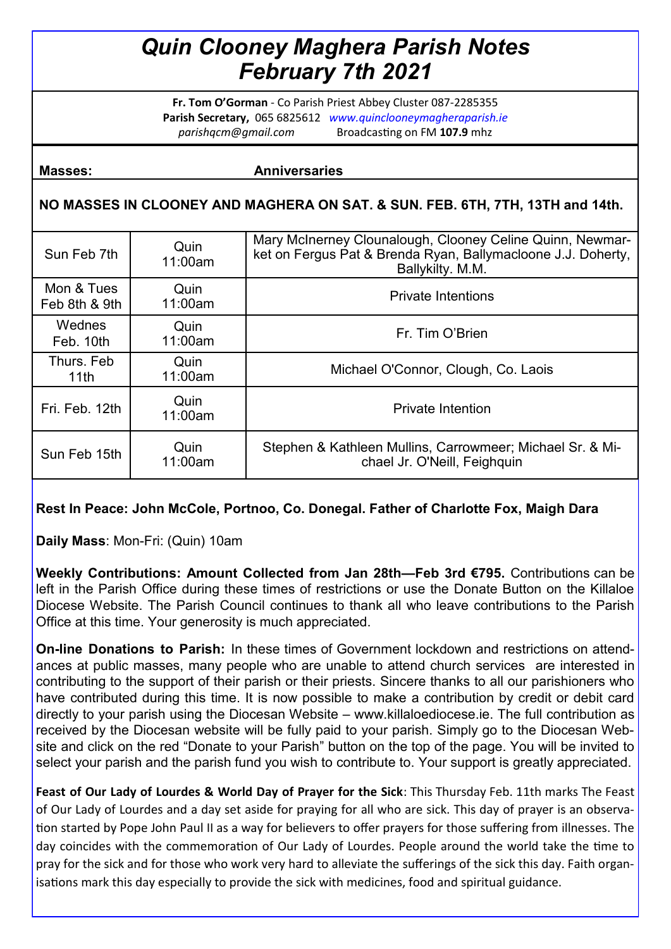# *Quin Clooney Maghera Parish Notes February 7th 2021*

**Fr. Tom O'Gorman** - Co Parish Priest Abbey Cluster 087-2285355 **Parish Secretary,** 065 6825612 *www.quinclooneymagheraparish.ie parishqcm@gmail.com* Broadcasting on FM **107.9** mhz

#### **Masses:** Anniversaries

### **NO MASSES IN CLOONEY AND MAGHERA ON SAT. & SUN. FEB. 6TH, 7TH, 13TH and 14th.**

| Sun Feb 7th                 | Quin<br>11:00am | Mary McInerney Clounalough, Clooney Celine Quinn, Newmar-<br>ket on Fergus Pat & Brenda Ryan, Ballymacloone J.J. Doherty,<br>Ballykilty. M.M. |  |  |
|-----------------------------|-----------------|-----------------------------------------------------------------------------------------------------------------------------------------------|--|--|
| Mon & Tues<br>Feb 8th & 9th | Quin<br>11:00am | <b>Private Intentions</b>                                                                                                                     |  |  |
| Wednes<br>Feb. 10th         | Quin<br>11:00am | Fr. Tim O'Brien                                                                                                                               |  |  |
| Thurs, Feb<br>11th          | Quin<br>11:00am | Michael O'Connor, Clough, Co. Laois                                                                                                           |  |  |
| Fri. Feb. 12th              | Quin<br>11:00am | <b>Private Intention</b>                                                                                                                      |  |  |
| Sun Feb 15th                | Quin<br>11:00am | Stephen & Kathleen Mullins, Carrowmeer; Michael Sr. & Mi-<br>chael Jr. O'Neill, Feighquin                                                     |  |  |

## **Rest In Peace: John McCole, Portnoo, Co. Donegal. Father of Charlotte Fox, Maigh Dara**

**Daily Mass**: Mon-Fri: (Quin) 10am

**Weekly Contributions: Amount Collected from Jan 28th—Feb 3rd €795.** Contributions can be left in the Parish Office during these times of restrictions or use the Donate Button on the Killaloe Diocese Website. The Parish Council continues to thank all who leave contributions to the Parish Office at this time. Your generosity is much appreciated.

**On-line Donations to Parish:** In these times of Government lockdown and restrictions on attendances at public masses, many people who are unable to attend church services are interested in contributing to the support of their parish or their priests. Sincere thanks to all our parishioners who have contributed during this time. It is now possible to make a contribution by credit or debit card directly to your parish using the Diocesan Website – www.killaloediocese.ie. The full contribution as received by the Diocesan website will be fully paid to your parish. Simply go to the Diocesan Website and click on the red "Donate to your Parish" button on the top of the page. You will be invited to select your parish and the parish fund you wish to contribute to. Your support is greatly appreciated.

**Feast of Our Lady of Lourdes & World Day of Prayer for the Sick**: This Thursday Feb. 11th marks The Feast of Our Lady of Lourdes and a day set aside for praying for all who are sick. This day of prayer is an observation started by Pope John Paul II as a way for believers to offer prayers for those suffering from illnesses. The day coincides with the commemoration of Our Lady of Lourdes. People around the world take the time to pray for the sick and for those who work very hard to alleviate the sufferings of the sick this day. Faith organisations mark this day especially to provide the sick with medicines, food and spiritual guidance.